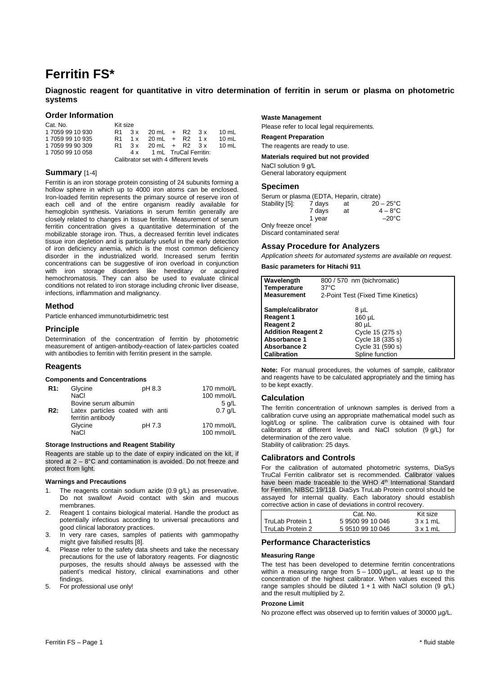# **Ferritin FS\***

# **Diagnostic reagent for quantitative in vitro determination of ferritin in serum or plasma on photometric systems**

## **Order Information**

| Cat. No.         | Kit size                               |  |                           |  |  |         |
|------------------|----------------------------------------|--|---------------------------|--|--|---------|
| 1 7059 99 10 930 | R1.                                    |  | $3x$ 20 mL + R2 $3x$      |  |  | 10 $mL$ |
| 1 7059 99 10 935 |                                        |  | R1 1x 20 mL + R2 1x       |  |  | 10 mL   |
| 1 7059 99 90 309 | R <sub>1</sub>                         |  | $3x$ 20 mL + R2 $3x$      |  |  | 10 ml   |
| 1 7050 99 10 058 |                                        |  | 4 x 1 mL TruCal Ferritin: |  |  |         |
|                  | Calibrator set with 4 different levels |  |                           |  |  |         |

# **Summary** [1-4]

Ferritin is an iron storage protein consisting of 24 subunits forming a hollow sphere in which up to 4000 iron atoms can be enclosed. Iron-loaded ferritin represents the primary source of reserve iron of each cell and of the entire organism readily available for hemoglobin synthesis. Variations in serum ferritin generally are closely related to changes in tissue ferritin. Measurement of serum ferritin concentration gives a quantitative determination of the mobilizable storage iron. Thus, a decreased ferritin level indicates tissue iron depletion and is particularly useful in the early detection of iron deficiency anemia, which is the most common deficiency disorder in the industrialized world. Increased serum ferritin concentrations can be suggestive of iron overload in conjunction with iron storage disorders like hereditary or acquired hemochromatosis. They can also be used to evaluate clinical conditions not related to iron storage including chronic liver disease, infections, inflammation and malignancy.

## **Method**

Particle enhanced immunoturbidimetric test

# **Principle**

Determination of the concentration of ferritin by photometric measurement of antigen-antibody-reaction of latex-particles coated with antibodies to ferritin with ferritin present in the sample.

## **Reagents**

#### **Components and Concentrations**

| R1:              | Glycine                                               | pH 8.3 | 170 mmol/L               |
|------------------|-------------------------------------------------------|--------|--------------------------|
|                  | NaCl                                                  |        | 100 mmol/L               |
|                  | Bovine serum albumin                                  |        | $5$ q/L                  |
| R <sub>2</sub> : | Latex particles coated with anti<br>ferritin antibody |        | $0.7$ q/L                |
|                  | Glycine<br><b>NaCl</b>                                | pH 7.3 | 170 mmol/L<br>100 mmol/L |

#### **Storage Instructions and Reagent Stability**

Reagents are stable up to the date of expiry indicated on the kit, if stored at 2 – 8°C and contamination is avoided. Do not freeze and protect from light.

#### **Warnings and Precautions**

- 1. The reagents contain sodium azide (0.9 g/L) as preservative. Do not swallow! Avoid contact with skin and mucous membranes.
- 2. Reagent 1 contains biological material. Handle the product as potentially infectious according to universal precautions and good clinical laboratory practices.
- 3. In very rare cases, samples of patients with gammopathy might give falsified results [8].
- 4. Please refer to the safety data sheets and take the necessary precautions for the use of laboratory reagents. For diagnostic purposes, the results should always be assessed with the patient's medical history, clinical examinations and other findings.
- 5. For professional use only!

## **Waste Management**

Please refer to local legal requirements.

**Reagent Preparation** 

The reagents are ready to use.

**Materials required but not provided** 

NaCl solution 9 g/L General laboratory equipment

## **Specimen**

| Serum or plasma (EDTA, Heparin, citrate) |        |    |                   |
|------------------------------------------|--------|----|-------------------|
| Stability [5]:                           | 7 days | at | $20 - 25$ °C      |
|                                          | 7 days | at | $4 - 8^{\circ}$ C |
|                                          | 1 vear |    | $-20^{\circ}$ C   |
| Only freeze once!                        |        |    |                   |
| Discard contaminated sera!               |        |    |                   |

## **Assay Procedure for Analyzers**

Application sheets for automated systems are available on request.

# **Basic parameters for Hitachi 911**

| Wavelength                       | 800 / 570 nm (bichromatic)         |  |  |
|----------------------------------|------------------------------------|--|--|
| Temperature                      | $37^{\circ}$ C                     |  |  |
| <b>Measurement</b>               | 2-Point Test (Fixed Time Kinetics) |  |  |
|                                  |                                    |  |  |
| Sample/calibrator                | 8 µL                               |  |  |
| <b>Reagent 1</b>                 | 160 µL                             |  |  |
| <b>Reagent 2</b>                 | 80 µL                              |  |  |
| <b>Addition Reagent 2</b>        | Cycle 15 (275 s)                   |  |  |
| Cycle 18 (335 s)<br>Absorbance 1 |                                    |  |  |
| Absorbance 2                     | Cycle 31 (590 s)                   |  |  |
| <b>Calibration</b>               | Spline function                    |  |  |

**Note:** For manual procedures, the volumes of sample, calibrator and reagents have to be calculated appropriately and the timing has to be kept exactly.

## **Calculation**

The ferritin concentration of unknown samples is derived from a calibration curve using an appropriate mathematical model such as logit/Log or spline. The calibration curve is obtained with four calibrators at different levels and NaCl solution (9 g/L) for determination of the zero value. Stability of calibration: 25 days.

## **Calibrators and Controls**

For the calibration of automated photometric systems, DiaSys TruCal Ferritin calibrator set is recommended. Calibrator values have been made traceable to the WHO 4<sup>th</sup> International Standard for Ferritin, NIBSC 19/118. DiaSys TruLab Protein control should be assayed for internal quality. Each laboratory should establish corrective action in case of deviations in control recovery.

|                  | Cat. No.     | Kit size |
|------------------|--------------|----------|
| TruLab Protein 1 | 595009910046 | 3x1mL    |
| TruLab Protein 2 | 595109910046 | 3x1mL    |

# **Performance Characteristics**

#### **Measuring Range**

The test has been developed to determine ferritin concentrations within a measuring range from  $5 - 1000 \mu g/L$ , at least up to the concentration of the highest calibrator. When values exceed this range samples should be diluted  $1 + 1$  with NaCl solution (9 g/L) and the result multiplied by 2.

## **Prozone Limit**

No prozone effect was observed up to ferritin values of 30000  $\mu$ q/L.